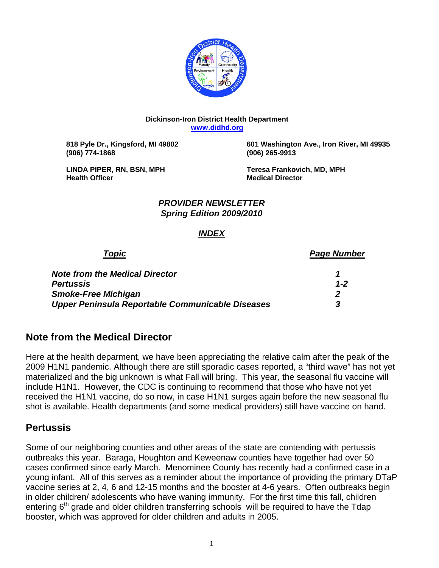

### **Dickinson-Iron District Health Department [www.didhd.org](http://www.didhd.org/)**

**(906) 774-1868 (906) 265-9913** 

 **818 Pyle Dr., Kingsford, MI 49802 601 Washington Ave., Iron River, MI 49935** 

**Health Officer Community Community Community Community Community Community Community Community Community Community Community Community Community Community Community Community Community Community Community Community Commun** 

LINDA PIPER, RN, BSN, MPH **Teresa Frankovich, MD, MPH** 

### *PROVIDER NEWSLETTER Spring Edition 2009/2010*

## *INDEX*

*Topic Page Number Page Number* 

| <b>Note from the Medical Director</b>            |     |
|--------------------------------------------------|-----|
| <b>Pertussis</b>                                 | 1-2 |
| <b>Smoke-Free Michigan</b>                       |     |
| Upper Peninsula Reportable Communicable Diseases |     |

# **Note from the Medical Director**

Here at the health deparment, we have been appreciating the relative calm after the peak of the 2009 H1N1 pandemic. Although there are still sporadic cases reported, a "third wave" has not yet materialized and the big unknown is what Fall will bring. This year, the seasonal flu vaccine will include H1N1. However, the CDC is continuing to recommend that those who have not yet received the H1N1 vaccine, do so now, in case H1N1 surges again before the new seasonal flu shot is available. Health departments (and some medical providers) still have vaccine on hand.

## **Pertussis**

Some of our neighboring counties and other areas of the state are contending with pertussis outbreaks this year. Baraga, Houghton and Keweenaw counties have together had over 50 cases confirmed since early March. Menominee County has recently had a confirmed case in a young infant. All of this serves as a reminder about the importance of providing the primary DTaP vaccine series at 2, 4, 6 and 12-15 months and the booster at 4-6 years. Often outbreaks begin in older children/ adolescents who have waning immunity. For the first time this fall, children entering  $6<sup>th</sup>$  grade and older children transferring schools will be required to have the Tdap booster, which was approved for older children and adults in 2005.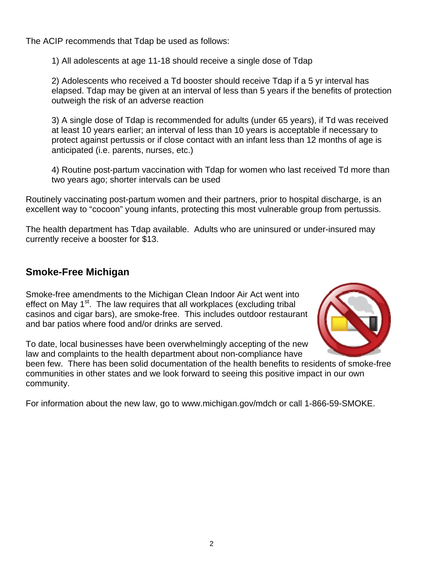The ACIP recommends that Tdap be used as follows:

1) All adolescents at age 11-18 should receive a single dose of Tdap

2) Adolescents who received a Td booster should receive Tdap if a 5 yr interval has elapsed. Tdap may be given at an interval of less than 5 years if the benefits of protection outweigh the risk of an adverse reaction

3) A single dose of Tdap is recommended for adults (under 65 years), if Td was received at least 10 years earlier; an interval of less than 10 years is acceptable if necessary to protect against pertussis or if close contact with an infant less than 12 months of age is anticipated (i.e. parents, nurses, etc.)

4) Routine post-partum vaccination with Tdap for women who last received Td more than two years ago; shorter intervals can be used

Routinely vaccinating post-partum women and their partners, prior to hospital discharge, is an excellent way to "cocoon" young infants, protecting this most vulnerable group from pertussis.

The health department has Tdap available. Adults who are uninsured or under-insured may currently receive a booster for \$13.

# **Smoke-Free Michigan**

Smoke-free amendments to the Michigan Clean Indoor Air Act went into effect on May 1<sup>st</sup>. The law requires that all workplaces (excluding tribal casinos and cigar bars), are smoke-free. This includes outdoor restaurant and bar patios where food and/or drinks are served.



To date, local businesses have been overwhelmingly accepting of the new law and complaints to the health department about non-compliance have

been few. There has been solid documentation of the health benefits to residents of smoke-free communities in other states and we look forward to seeing this positive impact in our own community.

For information about the new law, go to www.michigan.gov/mdch or call 1-866-59-SMOKE.